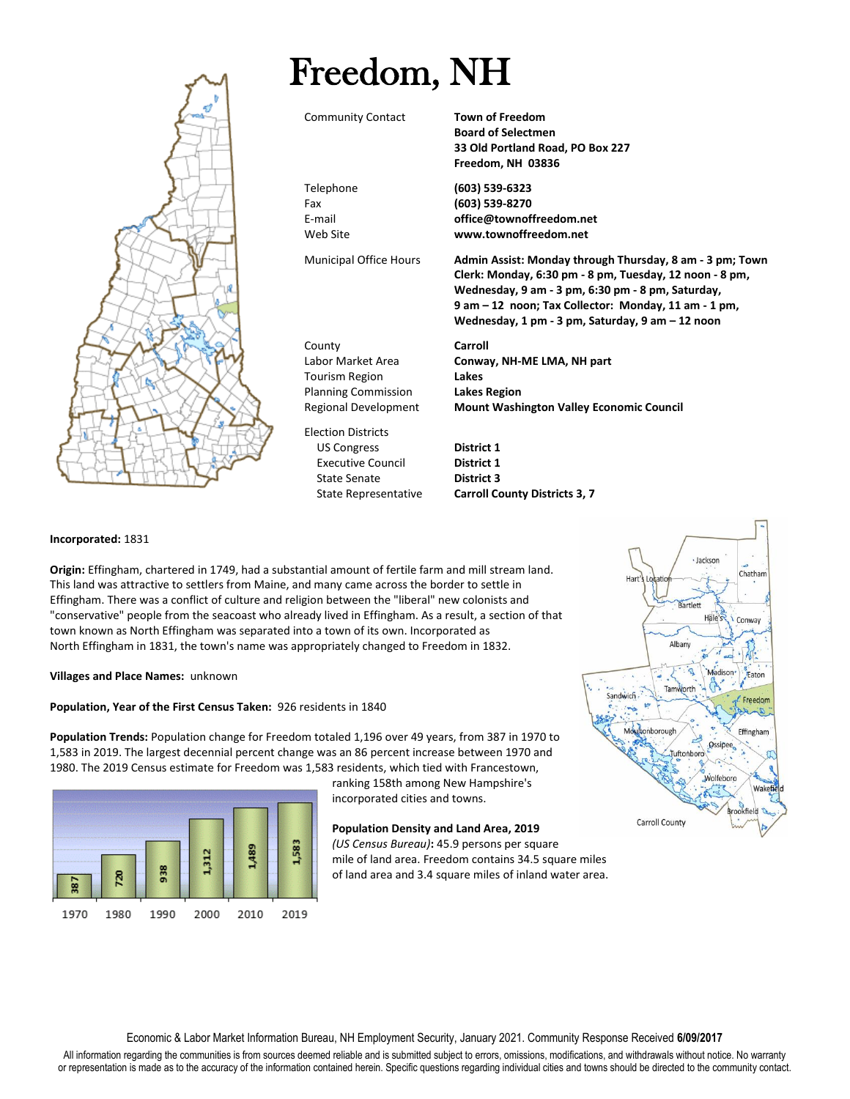

#### **Incorporated:** 1831

**Origin:** Effingham, chartered in 1749, had a substantial amount of fertile farm and mill stream land. This land was attractive to settlers from Maine, and many came across the border to settle in Effingham. There was a conflict of culture and religion between the "liberal" new colonists and "conservative" people from the seacoast who already lived in Effingham. As a result, a section of that town known as North Effingham was separated into a town of its own. Incorporated as North Effingham in 1831, the town's name was appropriately changed to Freedom in 1832.

**Villages and Place Names:** unknown

#### **Population, Year of the First Census Taken:** 926 residents in 1840

**Population Trends:** Population change for Freedom totaled 1,196 over 49 years, from 387 in 1970 to 1,583 in 2019. The largest decennial percent change was an 86 percent increase between 1970 and 1980. The 2019 Census estimate for Freedom was 1,583 residents, which tied with Francestown,



ranking 158th among New Hampshire's incorporated cities and towns.

## **Population Density and Land Area, 2019** *(US Census Bureau)***:** 45.9 persons per square mile of land area. Freedom contains 34.5 square miles of land area and 3.4 square miles of inland water area.



Economic & Labor Market Information Bureau, NH Employment Security, January 2021. Community Response Received **6/09/2017**

All information regarding the communities is from sources deemed reliable and is submitted subject to errors, omissions, modifications, and withdrawals without notice. No warranty or representation is made as to the accuracy of the information contained herein. Specific questions regarding individual cities and towns should be directed to the community contact.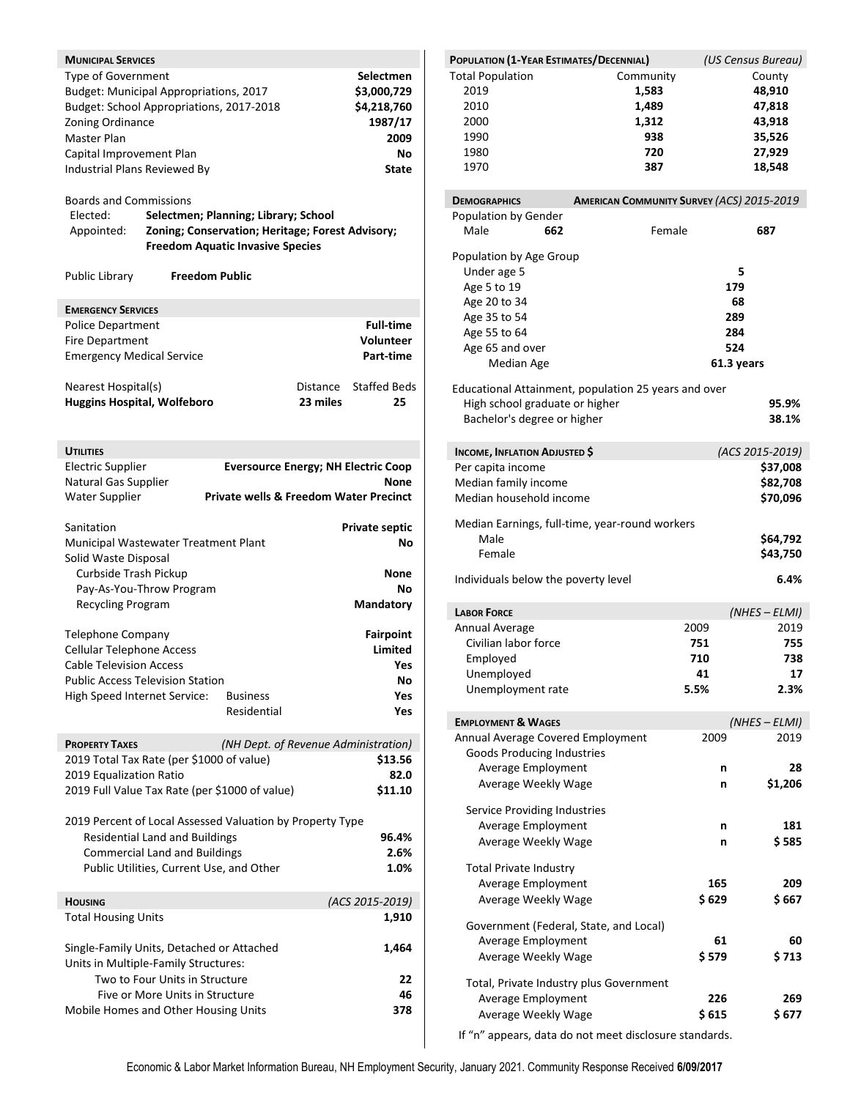| <b>MUNICIPAL SERVICES</b><br>Type of Government<br>Zoning Ordinance<br>Master Plan<br>Capital Improvement Plan<br>Industrial Plans Reviewed By<br><b>Boards and Commissions</b><br>Elected:<br>Appointed: | Budget: Municipal Appropriations, 2017<br>Budget: School Appropriations, 2017-2018<br>Selectmen; Planning; Library; School<br>Zoning; Conservation; Heritage; Forest Advisory;<br><b>Freedom Aquatic Invasive Species</b> |                                                   | Selectmen<br>\$3,000,729<br>\$4,218,760<br>1987/17<br>2009<br>No<br>State |
|-----------------------------------------------------------------------------------------------------------------------------------------------------------------------------------------------------------|---------------------------------------------------------------------------------------------------------------------------------------------------------------------------------------------------------------------------|---------------------------------------------------|---------------------------------------------------------------------------|
| Public Library                                                                                                                                                                                            | <b>Freedom Public</b>                                                                                                                                                                                                     |                                                   |                                                                           |
| <b>EMERGENCY SERVICES</b>                                                                                                                                                                                 |                                                                                                                                                                                                                           |                                                   |                                                                           |
| <b>Police Department</b>                                                                                                                                                                                  |                                                                                                                                                                                                                           |                                                   | <b>Full-time</b>                                                          |
| <b>Fire Department</b>                                                                                                                                                                                    |                                                                                                                                                                                                                           |                                                   | <b>Volunteer</b>                                                          |
| <b>Emergency Medical Service</b>                                                                                                                                                                          |                                                                                                                                                                                                                           |                                                   | Part-time                                                                 |
|                                                                                                                                                                                                           |                                                                                                                                                                                                                           |                                                   |                                                                           |
| Nearest Hospital(s)<br><b>Huggins Hospital, Wolfeboro</b>                                                                                                                                                 |                                                                                                                                                                                                                           | Distance<br>23 miles                              | <b>Staffed Beds</b><br>25                                                 |
|                                                                                                                                                                                                           |                                                                                                                                                                                                                           |                                                   |                                                                           |
| <b>UTILITIES</b>                                                                                                                                                                                          |                                                                                                                                                                                                                           |                                                   |                                                                           |
| <b>Electric Supplier</b>                                                                                                                                                                                  |                                                                                                                                                                                                                           | <b>Eversource Energy; NH Electric Coop</b>        |                                                                           |
| Natural Gas Supplier                                                                                                                                                                                      |                                                                                                                                                                                                                           |                                                   | None                                                                      |
| <b>Water Supplier</b>                                                                                                                                                                                     |                                                                                                                                                                                                                           | <b>Private wells &amp; Freedom Water Precinct</b> |                                                                           |
|                                                                                                                                                                                                           |                                                                                                                                                                                                                           |                                                   |                                                                           |
| Sanitation                                                                                                                                                                                                |                                                                                                                                                                                                                           |                                                   | <b>Private septic</b>                                                     |
|                                                                                                                                                                                                           | Municipal Wastewater Treatment Plant                                                                                                                                                                                      |                                                   | Νo                                                                        |
| Solid Waste Disposal                                                                                                                                                                                      |                                                                                                                                                                                                                           |                                                   |                                                                           |
| Curbside Trash Pickup                                                                                                                                                                                     |                                                                                                                                                                                                                           |                                                   | None                                                                      |
| Pay-As-You-Throw Program                                                                                                                                                                                  |                                                                                                                                                                                                                           | Nο                                                |                                                                           |
| <b>Recycling Program</b>                                                                                                                                                                                  |                                                                                                                                                                                                                           |                                                   | Mandatory                                                                 |
|                                                                                                                                                                                                           |                                                                                                                                                                                                                           |                                                   |                                                                           |
| <b>Telephone Company</b>                                                                                                                                                                                  |                                                                                                                                                                                                                           |                                                   | <b>Fairpoint</b>                                                          |
| <b>Cellular Telephone Access</b>                                                                                                                                                                          |                                                                                                                                                                                                                           |                                                   | <b>Limited</b>                                                            |
| <b>Cable Television Access</b>                                                                                                                                                                            |                                                                                                                                                                                                                           |                                                   | Yes                                                                       |
|                                                                                                                                                                                                           | <b>Public Access Television Station</b>                                                                                                                                                                                   |                                                   | No                                                                        |
| High Speed Internet Service:                                                                                                                                                                              | <b>Business</b>                                                                                                                                                                                                           |                                                   | Yes                                                                       |
|                                                                                                                                                                                                           |                                                                                                                                                                                                                           | Residential                                       | Yes                                                                       |
| <b>PROPERTY TAXES</b>                                                                                                                                                                                     |                                                                                                                                                                                                                           | (NH Dept. of Revenue Administration)              |                                                                           |
|                                                                                                                                                                                                           | 2019 Total Tax Rate (per \$1000 of value)                                                                                                                                                                                 |                                                   | \$13.56                                                                   |
| 2019 Equalization Ratio                                                                                                                                                                                   |                                                                                                                                                                                                                           |                                                   | 82.0                                                                      |
|                                                                                                                                                                                                           | 2019 Full Value Tax Rate (per \$1000 of value)                                                                                                                                                                            |                                                   | \$11.10                                                                   |
|                                                                                                                                                                                                           | 2019 Percent of Local Assessed Valuation by Property Type<br><b>Residential Land and Buildings</b>                                                                                                                        |                                                   |                                                                           |
|                                                                                                                                                                                                           | <b>Commercial Land and Buildings</b>                                                                                                                                                                                      |                                                   | 96.4%<br>2.6%                                                             |
|                                                                                                                                                                                                           |                                                                                                                                                                                                                           |                                                   |                                                                           |
|                                                                                                                                                                                                           | Public Utilities, Current Use, and Other                                                                                                                                                                                  |                                                   | 1.0%                                                                      |
| <b>HOUSING</b>                                                                                                                                                                                            |                                                                                                                                                                                                                           |                                                   | (ACS 2015-2019)                                                           |
| <b>Total Housing Units</b>                                                                                                                                                                                |                                                                                                                                                                                                                           |                                                   | 1,910                                                                     |
|                                                                                                                                                                                                           |                                                                                                                                                                                                                           |                                                   |                                                                           |
|                                                                                                                                                                                                           |                                                                                                                                                                                                                           |                                                   | 1,464                                                                     |
| Units in Multiple-Family Structures:                                                                                                                                                                      |                                                                                                                                                                                                                           |                                                   |                                                                           |
|                                                                                                                                                                                                           | Single-Family Units, Detached or Attached                                                                                                                                                                                 |                                                   |                                                                           |
|                                                                                                                                                                                                           | Two to Four Units in Structure                                                                                                                                                                                            |                                                   | 22                                                                        |
|                                                                                                                                                                                                           | Five or More Units in Structure<br>Mobile Homes and Other Housing Units                                                                                                                                                   |                                                   | 46<br>378                                                                 |

| POPULATION (1-YEAR ESTIMATES/DECENNIAL)                                |                                                      | (US Census Bureau) |
|------------------------------------------------------------------------|------------------------------------------------------|--------------------|
| <b>Total Population</b>                                                | Community                                            | County             |
| 2019                                                                   | 1,583                                                | 48,910             |
| 2010                                                                   | 1,489                                                | 47,818             |
| 2000                                                                   | 1,312                                                | 43,918             |
| 1990                                                                   | 938                                                  | 35,526             |
| 1980                                                                   | 720                                                  | 27,929             |
| 1970                                                                   | 387                                                  | 18,548             |
|                                                                        |                                                      |                    |
| <b>DEMOGRAPHICS</b>                                                    | <b>AMERICAN COMMUNITY SURVEY (ACS) 2015-2019</b>     |                    |
| Population by Gender                                                   |                                                      |                    |
| Male<br>662                                                            | Female                                               | 687                |
| Population by Age Group                                                |                                                      |                    |
| Under age 5                                                            |                                                      | 5                  |
| Age 5 to 19                                                            |                                                      | 179                |
| Age 20 to 34                                                           |                                                      | 68                 |
| Age 35 to 54                                                           |                                                      | 289                |
| Age 55 to 64                                                           |                                                      | 284                |
| Age 65 and over                                                        |                                                      | 524                |
| Median Age                                                             |                                                      | 61.3 years         |
|                                                                        |                                                      |                    |
|                                                                        | Educational Attainment, population 25 years and over |                    |
| High school graduate or higher                                         |                                                      | 95.9%              |
| Bachelor's degree or higher                                            |                                                      | 38.1%              |
|                                                                        |                                                      |                    |
| <b>INCOME, INFLATION ADJUSTED \$</b>                                   |                                                      | (ACS 2015-2019)    |
| Per capita income                                                      |                                                      | \$37,008           |
| Median family income                                                   |                                                      | \$82,708           |
| Median household income                                                |                                                      | \$70,096           |
|                                                                        | Median Earnings, full-time, year-round workers       |                    |
| Male                                                                   |                                                      | \$64,792           |
| Female                                                                 |                                                      | \$43,750           |
| Individuals below the poverty level                                    |                                                      | 6.4%               |
| <b>LABOR FORCE</b>                                                     |                                                      | $(NHES - ELMI)$    |
| Annual Average                                                         | 2009                                                 | 2019               |
| Civilian labor force                                                   | 751                                                  | 755                |
| Employed                                                               | 710                                                  | 738                |
| Unemployed                                                             | 41                                                   | 17                 |
| Unemployment rate                                                      | 5.5%                                                 | 2.3%               |
|                                                                        |                                                      |                    |
| <b>EMPLOYMENT &amp; WAGES</b>                                          | 2009                                                 | $(NHES - ELMI)$    |
| Annual Average Covered Employment<br><b>Goods Producing Industries</b> |                                                      | 2019               |
| Average Employment                                                     |                                                      | 28<br>n            |
| Average Weekly Wage                                                    |                                                      | \$1,206<br>n       |
|                                                                        |                                                      |                    |
| Service Providing Industries                                           |                                                      |                    |
| Average Employment                                                     |                                                      | 181<br>n           |
| Average Weekly Wage                                                    |                                                      | \$ 585<br>n        |
| <b>Total Private Industry</b>                                          |                                                      |                    |
| Average Employment                                                     | 165                                                  | 209                |
| Average Weekly Wage                                                    | \$629                                                | \$ 667             |
| Government (Federal, State, and Local)                                 |                                                      |                    |
| Average Employment                                                     | 61                                                   | 60                 |
|                                                                        |                                                      |                    |
| Average Weekly Wage                                                    | \$ 579                                               | \$ 713             |
| Total, Private Industry plus Government                                |                                                      |                    |
| Average Employment                                                     | 226                                                  | 269                |
| Average Weekly Wage                                                    | \$615                                                | \$ 677             |
|                                                                        |                                                      |                    |

If "n" appears, data do not meet disclosure standards.